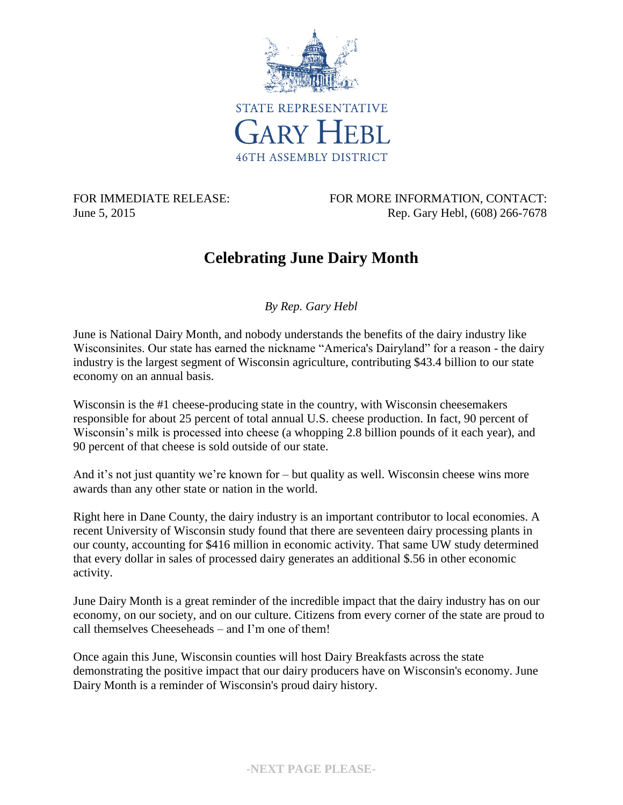

FOR IMMEDIATE RELEASE: FOR MORE INFORMATION, CONTACT: June 5, 2015 **Rep. Gary Hebl, (608) 266-7678** 

## **Celebrating June Dairy Month**

*By Rep. Gary Hebl*

June is National Dairy Month, and nobody understands the benefits of the dairy industry like Wisconsinites. Our state has earned the nickname "America's Dairyland" for a reason - the dairy industry is the largest segment of Wisconsin agriculture, contributing \$43.4 billion to our state economy on an annual basis.

Wisconsin is the #1 cheese-producing state in the country, with Wisconsin cheesemakers responsible for about 25 percent of total annual U.S. cheese production. In fact, 90 percent of Wisconsin's milk is processed into cheese (a whopping 2.8 billion pounds of it each year), and 90 percent of that cheese is sold outside of our state.

And it's not just quantity we're known for – but quality as well. Wisconsin cheese wins more awards than any other state or nation in the world.

Right here in Dane County, the dairy industry is an important contributor to local economies. A recent University of Wisconsin study found that there are seventeen dairy processing plants in our county, accounting for \$416 million in economic activity. That same UW study determined that every dollar in sales of processed dairy generates an additional \$.56 in other economic activity.

June Dairy Month is a great reminder of the incredible impact that the dairy industry has on our economy, on our society, and on our culture. Citizens from every corner of the state are proud to call themselves Cheeseheads – and I'm one of them!

Once again this June, Wisconsin counties will host Dairy Breakfasts across the state demonstrating the positive impact that our dairy producers have on Wisconsin's economy. June Dairy Month is a reminder of Wisconsin's proud dairy history.